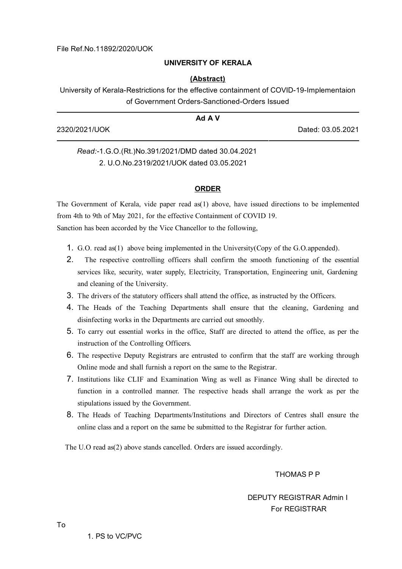### **UNIVERSITY OF KERALA**

### **(Abstract)**

University of Kerala-Restrictions for the effective containment of COVID-19-Implementaion of Government Orders-Sanctioned-Orders Issued

| Ad A V        |                   |
|---------------|-------------------|
| 2320/2021/UOK | Dated: 03.05.2021 |

## *Read:-*1.G.O.(Rt.)No.391/2021/DMD dated 30.04.2021 2. U.O.No.2319/2021/UOK dated 03.05.2021

### **ORDER**

The Government of Kerala, vide paper read as(1) above, have issued directions to be implemented from 4th to 9th of May 2021, for the effective Containment of COVID 19. Sanction has been accorded by the Vice Chancellor to the following,

- 1. G.O. read as(1) above being implemented in the University(Copy of the G.O.appended).
- 2. The respective controlling officers shall confirm the smooth functioning of the essential services like, security, water supply, Electricity, Transportation, Engineering unit, Gardening and cleaning of the University.
- 3. The drivers of the statutory officers shall attend the office, as instructed by the Officers.
- 4. The Heads of the Teaching Departments shall ensure that the cleaning, Gardening and disinfecting works in the Departments are carried out smoothly.
- 5. To carry out essential works in the office, Staff are directed to attend the office, as per the instruction of the Controlling Officers.
- 6. The respective Deputy Registrars are entrusted to confirm that the staff are working through Online mode and shall furnish a report on the same to the Registrar.
- 7. Institutions like CLIF and Examination Wing as well as Finance Wing shall be directed to function in a controlled manner. The respective heads shall arrange the work as per the stipulations issued by the Government.
- 8. The Heads of Teaching Departments/Institutions and Directors of Centres shall ensure the online class and a report on the same be submitted to the Registrar for further action.

The U.O read as(2) above stands cancelled. Orders are issued accordingly.

THOMAS P P

# DEPUTY REGISTRAR Admin I For REGISTRAR